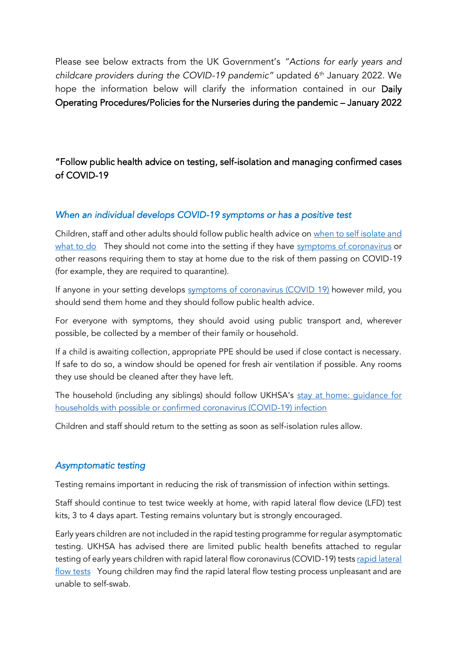Please see below extracts from the UK Government's *"Actions for early years and childcare providers during the COVID-19 pandemic"* updated 6th January 2022. We hope the information below will clarify the information contained in our Daily Operating Procedures/Policies for the Nurseries during the pandemic – January 2022

"Follow public health advice on testing, self-isolation and managing confirmed cases of COVID-19

#### *When an individual develops COVID-19 symptoms or has a positive test*

Children, staff and other adults should follow public health advice on [when to self isolate and](https://www.nhs.uk/conditions/coronavirus-covid-19/self-isolation-and-treatment/when-to-self-isolate-and-what-to-do/)  [what to do](https://www.nhs.uk/conditions/coronavirus-covid-19/self-isolation-and-treatment/when-to-self-isolate-and-what-to-do/) They should not come into the setting if they have [symptoms of coronavirus](https://www.nhs.uk/conditions/coronavirus-covid-19/symptoms/main-symptoms/) or other reasons requiring them to stay at home due to the risk of them passing on COVID-19 (for example, they are required to quarantine).

If anyone in your setting develops [symptoms of coronavirus \(COVID 19\)](https://www.nhs.uk/conditions/coronavirus-covid-19/symptoms/coronavirus-in-children/) however mild, you should send them home and they should follow public health advice.

For everyone with symptoms, they should avoid using public transport and, wherever possible, be collected by a member of their family or household.

If a child is awaiting collection, appropriate PPE should be used if close contact is necessary. If safe to do so, a window should be opened for fresh air ventilation if possible. Any rooms they use should be cleaned after they have left.

The household (including any siblings) should follow UKHSA's stay at home: quidance for [households with possible or confirmed coronavirus \(COVID-19\) infection](https://www.gov.uk/government/publications/covid-19-stay-at-home-guidance/stay-at-home-guidance-for-households-with-possible-coronavirus-covid-19-infection) 

Children and staff should return to the setting as soon as self-isolation rules allow.

# *Asymptomatic testing*

Testing remains important in reducing the risk of transmission of infection within settings.

Staff should continue to test twice weekly at home, with rapid lateral flow device (LFD) test kits, 3 to 4 days apart. Testing remains voluntary but is strongly encouraged.

Early years children are not included in the rapid testing programme for regular asymptomatic testing. UKHSA has advised there are limited public health benefits attached to regular testing of early years children with [rapid lateral](https://www.nhs.uk/conditions/coronavirus-covid-19/testing/regular-rapid-coronavirus-tests-if-you-do-not-have-symptoms/) flow coronavirus (COVID-19) tests rapid lateral [flow tests](https://www.nhs.uk/conditions/coronavirus-covid-19/testing/regular-rapid-coronavirus-tests-if-you-do-not-have-symptoms/) Young children may find the rapid lateral flow testing process unpleasant and are unable to self-swab.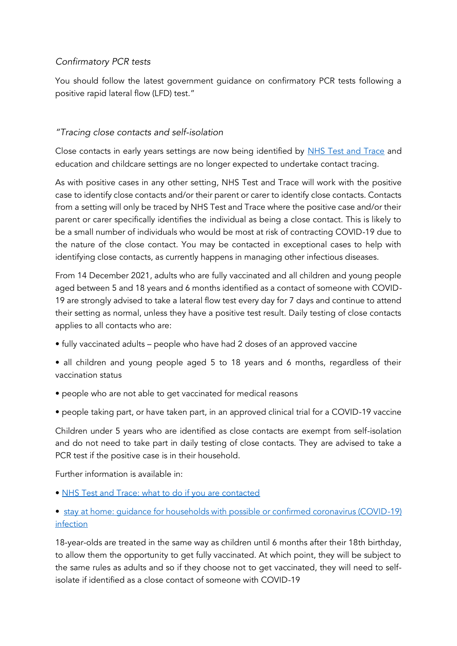### *Confirmatory PCR tests*

You should follow the latest government guidance on confirmatory PCR tests following a positive rapid lateral flow (LFD) test."

### *"Tracing close contacts and self-isolation*

Close contacts in early years settings are now being identified by [NHS Test and Trace](https://www.gov.uk/guidance/nhs-test-and-trace-how-it-works) and education and childcare settings are no longer expected to undertake contact tracing.

As with positive cases in any other setting, NHS Test and Trace will work with the positive case to identify close contacts and/or their parent or carer to identify close contacts. Contacts from a setting will only be traced by NHS Test and Trace where the positive case and/or their parent or carer specifically identifies the individual as being a close contact. This is likely to be a small number of individuals who would be most at risk of contracting COVID-19 due to the nature of the close contact. You may be contacted in exceptional cases to help with identifying close contacts, as currently happens in managing other infectious diseases.

From 14 December 2021, adults who are fully vaccinated and all children and young people aged between 5 and 18 years and 6 months identified as a contact of someone with COVID-19 are strongly advised to take a lateral flow test every day for 7 days and continue to attend their setting as normal, unless they have a positive test result. Daily testing of close contacts applies to all contacts who are:

- fully vaccinated adults people who have had 2 doses of an approved vaccine
- all children and young people aged 5 to 18 years and 6 months, regardless of their vaccination status
- people who are not able to get vaccinated for medical reasons
- people taking part, or have taken part, in an approved clinical trial for a COVID-19 vaccine

Children under 5 years who are identified as close contacts are exempt from self-isolation and do not need to take part in daily testing of close contacts. They are advised to take a PCR test if the positive case is in their household.

Further information is available in:

• [NHS Test and Trace: what to do if you are contacted](https://www.gov.uk/guidance/nhs-test-and-trace-how-it-works)

# • stay at home: quidance for households with possible or confirmed coronavirus (COVID-19) [infection](https://www.gov.uk/government/publications/covid-19-stay-at-home-guidance/stay-at-home-guidance-for-households-with-possible-coronavirus-covid-19-infection)

18-year-olds are treated in the same way as children until 6 months after their 18th birthday, to allow them the opportunity to get fully vaccinated. At which point, they will be subject to the same rules as adults and so if they choose not to get vaccinated, they will need to selfisolate if identified as a close contact of someone with COVID-19